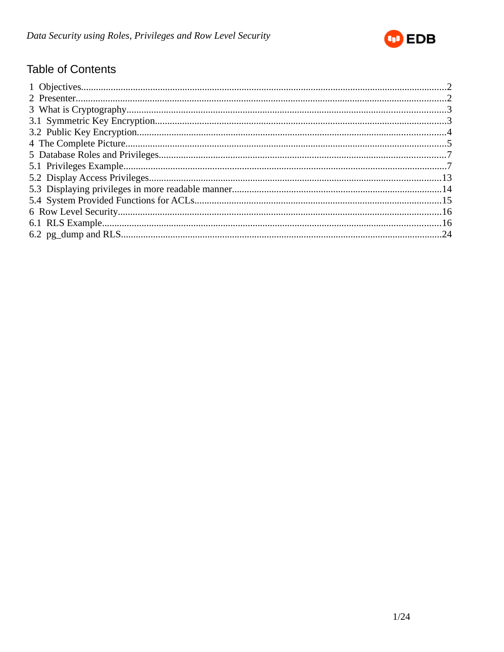

# **Table of Contents**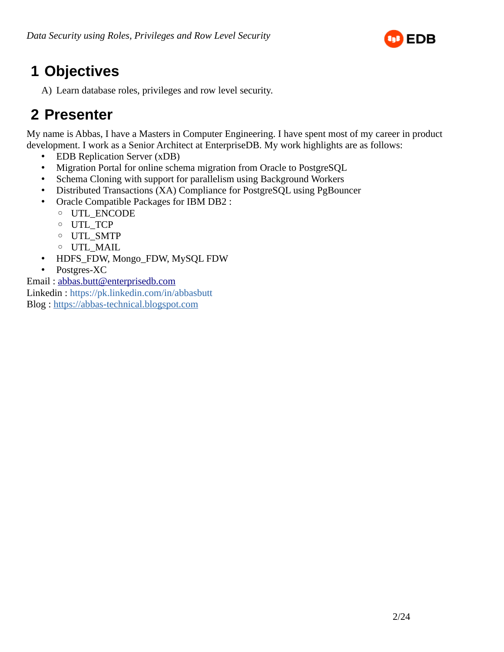

# <span id="page-1-0"></span> **1 Objectives**

A) Learn database roles, privileges and row level security.

# <span id="page-1-1"></span> **2 Presenter**

My name is Abbas, I have a Masters in Computer Engineering. I have spent most of my career in product development. I work as a Senior Architect at EnterpriseDB. My work highlights are as follows:

- EDB Replication Server (xDB)
- Migration Portal for online schema migration from Oracle to PostgreSQL
- Schema Cloning with support for parallelism using Background Workers
- Distributed Transactions (XA) Compliance for PostgreSQL using PgBouncer
- Oracle Compatible Packages for IBM DB2 :
	- UTL\_ENCODE
	- UTL\_TCP
	- UTL\_SMTP
	- UTL\_MAIL
- HDFS\_FDW, Mongo\_FDW, MySQL FDW
- Postgres-XC

Email : [abbas.butt@enterprisedb.com](mailto:abbas.butt@enterprisedb.com) Linkedin : https://pk.linkedin.com/in/abbasbutt Blog : [https://abbas-technical.blogspot.com](https://abbas-technical.blogspot.com/)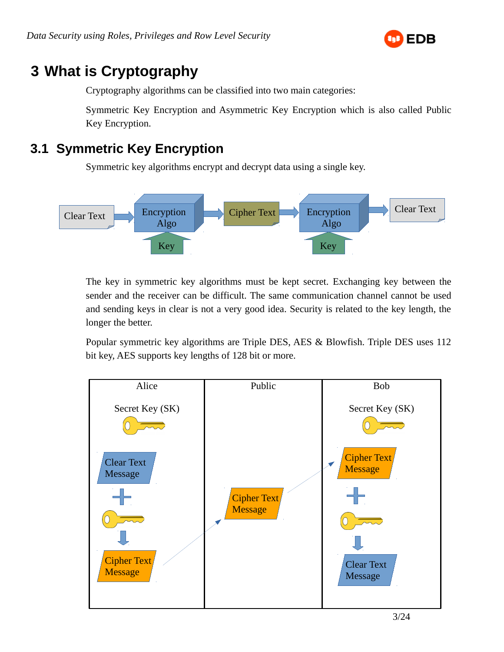

# <span id="page-2-1"></span> **3 What is Cryptography**

Cryptography algorithms can be classified into two main categories:

Symmetric Key Encryption and Asymmetric Key Encryption which is also called Public Key Encryption.

# <span id="page-2-0"></span> **3.1 Symmetric Key Encryption**

Symmetric key algorithms encrypt and decrypt data using a single key.



The key in symmetric key algorithms must be kept secret. Exchanging key between the sender and the receiver can be difficult. The same communication channel cannot be used and sending keys in clear is not a very good idea. Security is related to the key length, the longer the better.

Popular symmetric key algorithms are Triple DES, AES & Blowfish. Triple DES uses 112 bit key, AES supports key lengths of 128 bit or more.

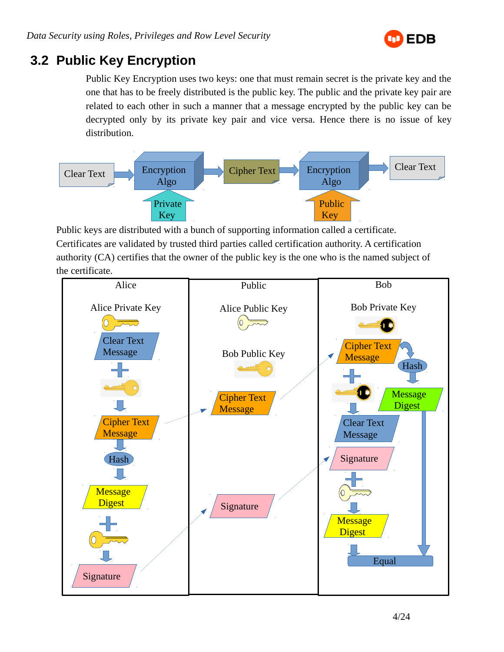

## <span id="page-3-0"></span> **3.2 Public Key Encryption**

Public Key Encryption uses two keys: one that must remain secret is the private key and the one that has to be freely distributed is the public key. The public and the private key pair are related to each other in such a manner that a message encrypted by the public key can be decrypted only by its private key pair and vice versa. Hence there is no issue of key distribution.



Public keys are distributed with a bunch of supporting information called a certificate. Certificates are validated by trusted third parties called certification authority. A certification authority (CA) certifies that the owner of the public key is the one who is the named subject of the certificate.

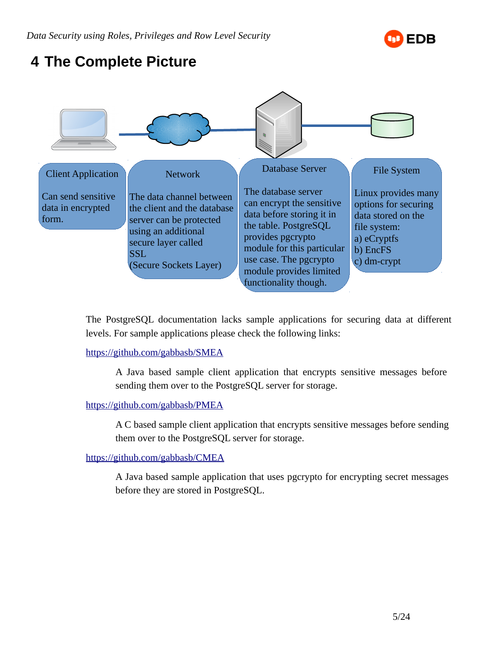

# <span id="page-4-0"></span> **4 The Complete Picture**



The PostgreSQL documentation lacks sample applications for securing data at different levels. For sample applications please check the following links:

#### <https://github.com/gabbasb/SMEA>

A Java based sample client application that encrypts sensitive messages before sending them over to the PostgreSQL server for storage.

#### <https://github.com/gabbasb/PMEA>

A C based sample client application that encrypts sensitive messages before sending them over to the PostgreSQL server for storage.

#### <https://github.com/gabbasb/CMEA>

A Java based sample application that uses pgcrypto for encrypting secret messages before they are stored in PostgreSQL.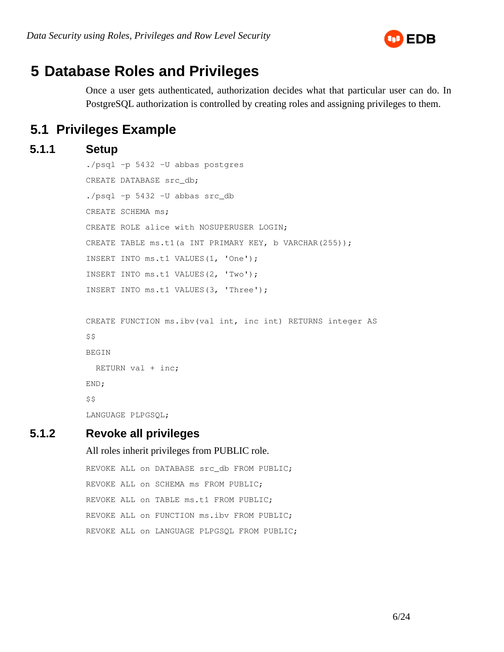

# <span id="page-5-1"></span> **5 Database Roles and Privileges**

Once a user gets authenticated, authorization decides what that particular user can do. In PostgreSQL authorization is controlled by creating roles and assigning privileges to them.

## <span id="page-5-0"></span> **5.1 Privileges Example**

```
 5.1.1 Setup
```

```
./psql -p 5432 -U abbas postgres
CREATE DATABASE src_db;
./psql -p 5432 -U abbas src_db
CREATE SCHEMA ms;
CREATE ROLE alice with NOSUPERUSER LOGIN;
CREATE TABLE ms.t1(a INT PRIMARY KEY, b VARCHAR(255));
INSERT INTO ms.t1 VALUES(1, 'One');
INSERT INTO ms.t1 VALUES(2, 'Two');
INSERT INTO ms.t1 VALUES(3, 'Three');
CREATE FUNCTION ms.ibv(val int, inc int) RETURNS integer AS
$$
BEGIN
  RETURN val + inc;
END;
$5
```
LANGUAGE PLPGSQL;

## **5.1.2 Revoke all privileges**

All roles inherit privileges from PUBLIC role.

REVOKE ALL on DATABASE src\_db FROM PUBLIC; REVOKE ALL on SCHEMA ms FROM PUBLIC; REVOKE ALL on TABLE ms.t1 FROM PUBLIC; REVOKE ALL on FUNCTION ms.ibv FROM PUBLIC; REVOKE ALL on LANGUAGE PLPGSQL FROM PUBLIC;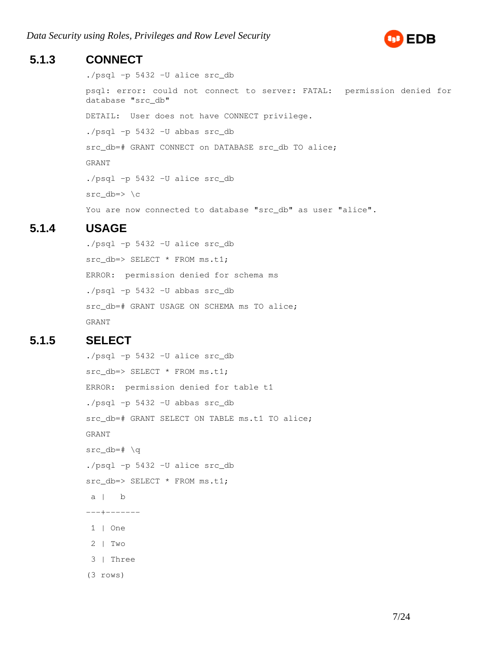

### **5.1.3 CONNECT**

./psql -p 5432 -U alice src\_db

psql: error: could not connect to server: FATAL: permission denied for database "src\_db" DETAIL: User does not have CONNECT privilege. ./psql -p 5432 -U abbas src\_db src\_db=# GRANT CONNECT on DATABASE src\_db TO alice; GRANT ./psql -p 5432 -U alice src\_db src\_db=> \c You are now connected to database "src\_db" as user "alice".

### **5.1.4 USAGE**

./psql -p 5432 -U alice src\_db src\_db=> SELECT \* FROM ms.t1; ERROR: permission denied for schema ms ./psql -p 5432 -U abbas src\_db src\_db=# GRANT USAGE ON SCHEMA ms TO alice; GRANT

### **5.1.5 SELECT**

./psql -p 5432 -U alice src\_db src\_db=> SELECT \* FROM ms.t1; ERROR: permission denied for table t1 ./psql -p 5432 -U abbas src\_db src\_db=# GRANT SELECT ON TABLE ms.t1 TO alice; GRANT src  $db=# \ a$ ./psql -p 5432 -U alice src\_db src\_db=> SELECT \* FROM ms.t1;  $a \mid b$ ---+------- 1 | One 2 | Two 3 | Three (3 rows)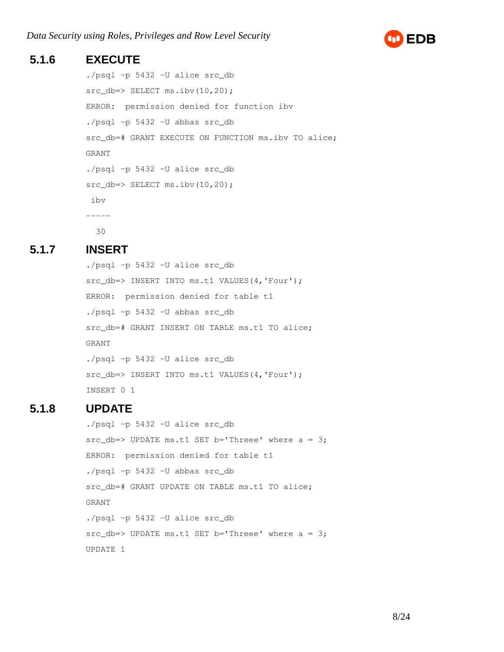

### **5.1.6 EXECUTE**

```
./psql -p 5432 -U alice src_db
src_db=> SELECT ms.ibv(10,20);
ERROR: permission denied for function ibv
./psql -p 5432 -U abbas src_db
src_db=# GRANT EXECUTE ON FUNCTION ms.ibv TO alice;
GRANT
./psql -p 5432 -U alice src_db
src_db=> SELECT ms.ibv(10,20);
 ibv 
-----
   30
```
#### **5.1.7 INSERT**

./psql -p 5432 -U alice src\_db src\_db=> INSERT INTO ms.t1 VALUES(4,'Four'); ERROR: permission denied for table t1 ./psql -p 5432 -U abbas src\_db src\_db=# GRANT INSERT ON TABLE ms.t1 TO alice; GRANT ./psql -p 5432 -U alice src\_db src\_db=> INSERT INTO ms.t1 VALUES(4,'Four'); INSERT 0 1

### **5.1.8 UPDATE**

./psql -p 5432 -U alice src\_db  $src\_db =>$  UPDATE ms.t1 SET b='Threee' where  $a = 3$ ; ERROR: permission denied for table t1 ./psql -p 5432 -U abbas src\_db src\_db=# GRANT UPDATE ON TABLE ms.t1 TO alice; GRANT ./psql -p 5432 -U alice src\_db  $src\_db =>$  UPDATE ms.t1 SET b='Threee' where  $a = 3$ ; UPDATE 1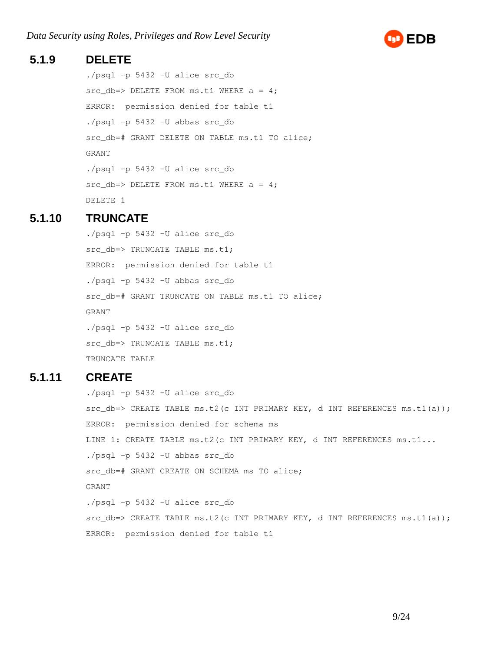

#### **5.1.9 DELETE**

./psql -p 5432 -U alice src\_db  $src\_db => \text{DELETE}$  FROM ms.t1 WHERE  $a = 4;$ ERROR: permission denied for table t1 ./psql -p 5432 -U abbas src\_db src\_db=# GRANT DELETE ON TABLE ms.t1 TO alice; GRANT ./psql -p 5432 -U alice src\_db  $src\_db => DELETE$  FROM ms.t1 WHERE  $a = 4$ ; DELETE 1

#### **5.1.10 TRUNCATE**

./psql -p 5432 -U alice src\_db src\_db=> TRUNCATE TABLE ms.t1; ERROR: permission denied for table t1 ./psql -p 5432 -U abbas src\_db src\_db=# GRANT TRUNCATE ON TABLE ms.t1 TO alice; GRANT ./psql -p 5432 -U alice src\_db src\_db=> TRUNCATE TABLE ms.t1; TRUNCATE TABLE

### **5.1.11 CREATE**

./psql -p 5432 -U alice src\_db  $src\_db \Rightarrow$  CREATE TABLE ms.t2(c INT PRIMARY KEY, d INT REFERENCES ms.t1(a)); ERROR: permission denied for schema ms LINE 1: CREATE TABLE ms.t2(c INT PRIMARY KEY, d INT REFERENCES ms.t1... ./psql -p 5432 -U abbas src\_db src\_db=# GRANT CREATE ON SCHEMA ms TO alice; GRANT ./psql -p 5432 -U alice src\_db  $src\_db \Rightarrow$  CREATE TABLE ms.t2(c INT PRIMARY KEY, d INT REFERENCES ms.t1(a)); ERROR: permission denied for table t1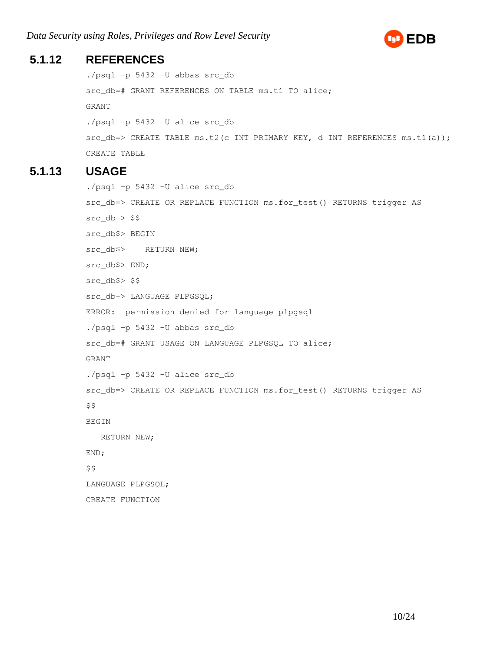

### **5.1.12 REFERENCES**

```
./psql -p 5432 -U abbas src_db
src_db=# GRANT REFERENCES ON TABLE ms.t1 TO alice;
GRANT
./psql -p 5432 -U alice src_db
src\_db \Rightarrow CREATE TABLE ms.t2(c INT PRIMARY KEY, d INT REFERENCES ms.t1(a));
CREATE TABLE
```
### **5.1.13 USAGE**

```
./psql -p 5432 -U alice src_db
src_db=> CREATE OR REPLACE FUNCTION ms.for_test() RETURNS trigger AS
src_db-> $$
src_db$> BEGIN
src_db$> RETURN NEW;
src_db$> END;
src_db$> $$
src_db-> LANGUAGE PLPGSQL;
ERROR: permission denied for language plpgsql
./psql -p 5432 -U abbas src_db
src_db=# GRANT USAGE ON LANGUAGE PLPGSQL TO alice;
GRANT
./psql -p 5432 -U alice src_db
src_db=> CREATE OR REPLACE FUNCTION ms.for_test() RETURNS trigger AS
$5BEGIN
   RETURN NEW;
END;
$5LANGUAGE PLPGSQL;
CREATE FUNCTION
```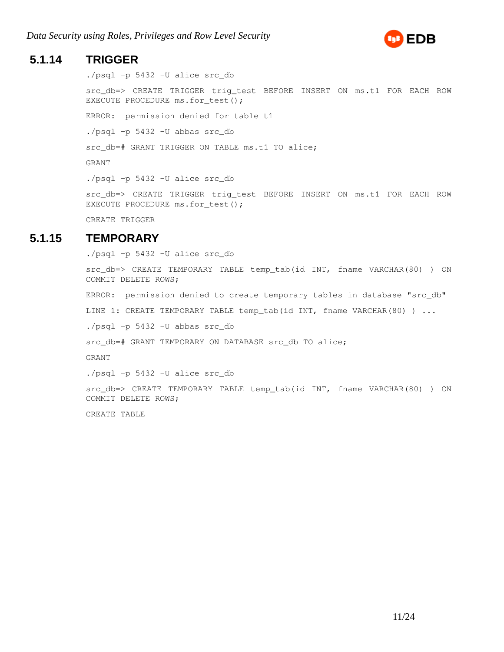

#### **5.1.14 TRIGGER**

./psql -p 5432 -U alice src\_db

src\_db=> CREATE TRIGGER trig\_test BEFORE INSERT ON ms.t1 FOR EACH ROW EXECUTE PROCEDURE ms.for test();

ERROR: permission denied for table t1

./psql -p 5432 -U abbas src\_db

src db=# GRANT TRIGGER ON TABLE ms.t1 TO alice;

GRANT

./psql -p 5432 -U alice src\_db

src\_db=> CREATE TRIGGER trig\_test BEFORE INSERT ON ms.t1 FOR EACH ROW EXECUTE PROCEDURE ms.for\_test();

CREATE TRIGGER

#### **5.1.15 TEMPORARY**

./psql -p 5432 -U alice src\_db

src\_db=> CREATE TEMPORARY TABLE temp\_tab(id INT, fname VARCHAR(80) ) ON COMMIT DELETE ROWS;

ERROR: permission denied to create temporary tables in database "src\_db"

LINE 1: CREATE TEMPORARY TABLE temp\_tab(id INT, fname VARCHAR(80) ) ...

./psql -p 5432 -U abbas src\_db

src\_db=# GRANT TEMPORARY ON DATABASE src\_db TO alice;

GRANT

./psql -p 5432 -U alice src\_db

src\_db=> CREATE TEMPORARY TABLE temp\_tab(id INT, fname VARCHAR(80) ) ON COMMIT DELETE ROWS;

CREATE TABLE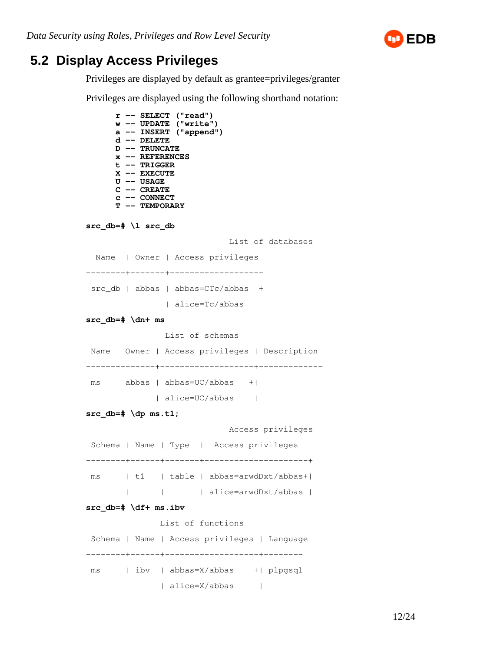

## <span id="page-11-0"></span> **5.2 Display Access Privileges**

Privileges are displayed by default as grantee=privileges/granter

Privileges are displayed using the following shorthand notation:

```
r -- SELECT ("read")
      w -- UPDATE ("write")
      a -- INSERT ("append")
      d -- DELETE
      D -- TRUNCATE
      x -- REFERENCES
      t -- TRIGGER
      X -- EXECUTE
      U -- USAGE
      C -- CREATE
      c -- CONNECT
      T -- TEMPORARY
src_db=# \l src_db
                             List of databases
  Name | Owner | Access privileges 
--------+-------+-------------------
src_db | abbas | abbas=CTc/abbas +
               | alice=Tc/abbas
src_db=# \dn+ ms
                List of schemas
 Name | Owner | Access privileges | Description 
------+-------+-------------------+-------------
 ms | abbas | abbas=UC/abbas +| 
      | | alice=UC/abbas | 
src_db=# \dp ms.t1;
                            Access privileges
 Schema | Name | Type | Access privileges
--------+------+-------+---------------------+
 ms | t1 | table | abbas=arwdDxt/abbas+|
         | | | alice=arwdDxt/abbas |
src_db=# \df+ ms.ibv
               List of functions
 Schema | Name | Access privileges | Language 
--------+------+-------------------+--------
 ms | ibv | abbas=X/abbas +| plpgsql
              | alice=X/abbas |
```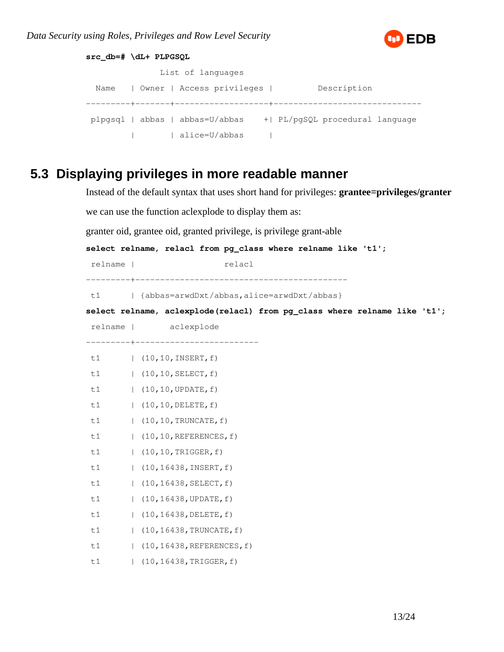

```
src_db=# \dL+ PLPGSQL
              List of languages
 Name | Owner | Access privileges | Description
---------+-------+-------------------+------------------------------
 plpgsql | abbas | abbas=U/abbas +| PL/pgSQL procedural language
         | | alice=U/abbas |
```
## <span id="page-12-0"></span> **5.3 Displaying privileges in more readable manner**

```
Instead of the default syntax that uses short hand for privileges: grantee=privileges/granter
we can use the function aclexplode to display them as:
granter oid, grantee oid, granted privilege, is privilege grant-able
select relname, relacl from pg_class where relname like 't1';
relname | relacl
---------+-------------------------------------------
t1 | {abbas=arwdDxt/abbas, alice=arwdDxt/abbas}
select relname, aclexplode(relacl) from pg_class where relname like 't1';
 relname | aclexplode 
---------+-------------------------
 t1 | (10,10,INSERT,f)
 t1 | (10,10,SELECT,f)
 t1 | (10,10,UPDATE,f)
 t1 | (10,10,DELETE,f)
t1 | (10,10, TRUNCATE, f)
 t1 | (10,10,REFERENCES,f)
t1 | (10,10,TRIGGER, f)
 t1 | (10,16438,INSERT,f)
t1 | (10,16438, SELECT, f)
 t1 | (10,16438,UPDATE,f)
 t1 | (10,16438,DELETE,f)
t1 | (10,16438, TRUNCATE, f)
 t1 | (10,16438,REFERENCES,f)
t1 | (10,16438, TRIGGER, f)
```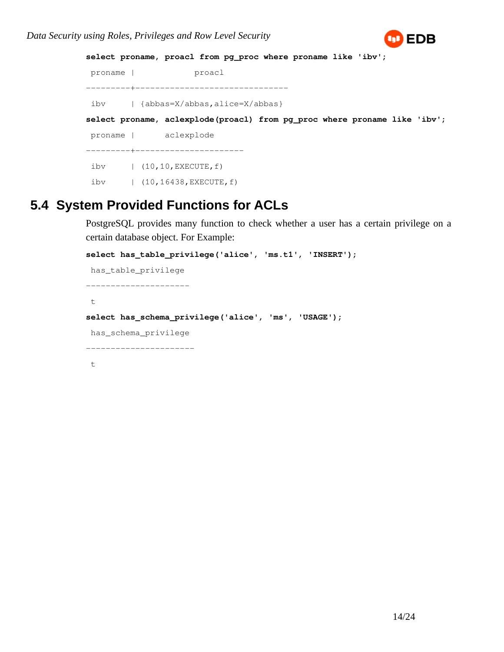

```
select proname, proacl from pg_proc where proname like 'ibv';
 proname | proacl 
---------+-------------------------------
 ibv | {abbas=X/abbas,alice=X/abbas}
select proname, aclexplode(proacl) from pg_proc where proname like 'ibv';
 proname | aclexplode 
---------+----------------------
 ibv | (10,10,EXECUTE,f)
 ibv | (10,16438,EXECUTE,f)
```
## <span id="page-13-0"></span> **5.4 System Provided Functions for ACLs**

PostgreSQL provides many function to check whether a user has a certain privilege on a certain database object. For Example:

```
select has_table_privilege('alice', 'ms.t1', 'INSERT');
 has_table_privilege 
---------------------
 t
select has_schema_privilege('alice', 'ms', 'USAGE');
 has_schema_privilege 
----------------------
  t
```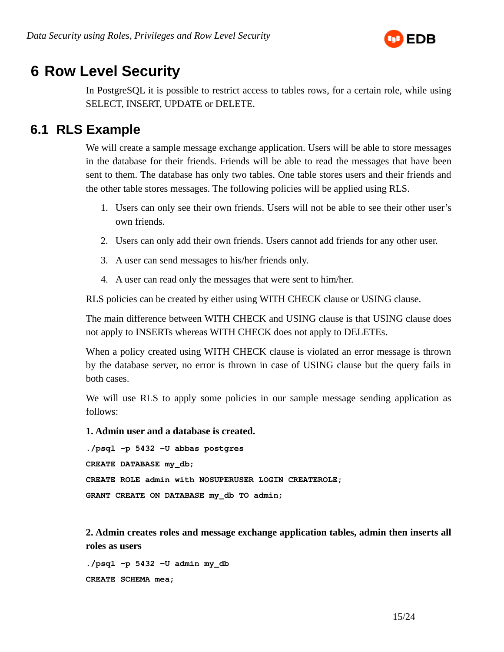

# <span id="page-14-1"></span> **6 Row Level Security**

In PostgreSQL it is possible to restrict access to tables rows, for a certain role, while using SELECT, INSERT, UPDATE or DELETE.

### <span id="page-14-0"></span> **6.1 RLS Example**

We will create a sample message exchange application. Users will be able to store messages in the database for their friends. Friends will be able to read the messages that have been sent to them. The database has only two tables. One table stores users and their friends and the other table stores messages. The following policies will be applied using RLS.

- 1. Users can only see their own friends. Users will not be able to see their other user's own friends.
- 2. Users can only add their own friends. Users cannot add friends for any other user.
- 3. A user can send messages to his/her friends only.
- 4. A user can read only the messages that were sent to him/her.

RLS policies can be created by either using WITH CHECK clause or USING clause.

The main difference between WITH CHECK and USING clause is that USING clause does not apply to INSERTs whereas WITH CHECK does not apply to DELETEs.

When a policy created using WITH CHECK clause is violated an error message is thrown by the database server, no error is thrown in case of USING clause but the query fails in both cases.

We will use RLS to apply some policies in our sample message sending application as follows:

**1. Admin user and a database is created.** 

```
./psql -p 5432 -U abbas postgres
CREATE DATABASE my_db;
CREATE ROLE admin with NOSUPERUSER LOGIN CREATEROLE;
GRANT CREATE ON DATABASE my_db TO admin;
```
**2. Admin creates roles and message exchange application tables, admin then inserts all roles as users**

**./psql -p 5432 -U admin my\_db CREATE SCHEMA mea;**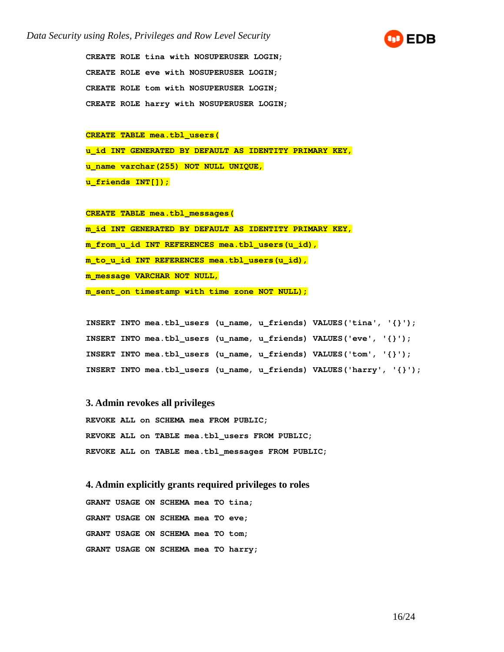

**CREATE ROLE tina with NOSUPERUSER LOGIN; CREATE ROLE eve with NOSUPERUSER LOGIN; CREATE ROLE tom with NOSUPERUSER LOGIN; CREATE ROLE harry with NOSUPERUSER LOGIN;**

## **CREATE TABLE mea.tbl\_users( u\_id INT GENERATED BY DEFAULT AS IDENTITY PRIMARY KEY, u\_name varchar(255) NOT NULL UNIQUE, u\_friends INT[]);**

**CREATE TABLE mea.tbl\_messages( m\_id INT GENERATED BY DEFAULT AS IDENTITY PRIMARY KEY, m\_from\_u\_id INT REFERENCES mea.tbl\_users(u\_id), m\_to\_u\_id INT REFERENCES mea.tbl\_users(u\_id), m\_message VARCHAR NOT NULL, m\_sent\_on timestamp with time zone NOT NULL);**

**INSERT INTO mea.tbl\_users (u\_name, u\_friends) VALUES('tina', '{}'); INSERT INTO mea.tbl\_users (u\_name, u\_friends) VALUES('eve', '{}'); INSERT INTO mea.tbl\_users (u\_name, u\_friends) VALUES('tom', '{}'); INSERT INTO mea.tbl\_users (u\_name, u\_friends) VALUES('harry', '{}');** 

#### **3. Admin revokes all privileges**

**REVOKE ALL on SCHEMA mea FROM PUBLIC; REVOKE ALL on TABLE mea.tbl\_users FROM PUBLIC; REVOKE ALL on TABLE mea.tbl\_messages FROM PUBLIC;**

**4. Admin explicitly grants required privileges to roles GRANT USAGE ON SCHEMA mea TO tina; GRANT USAGE ON SCHEMA mea TO eve; GRANT USAGE ON SCHEMA mea TO tom; GRANT USAGE ON SCHEMA mea TO harry;**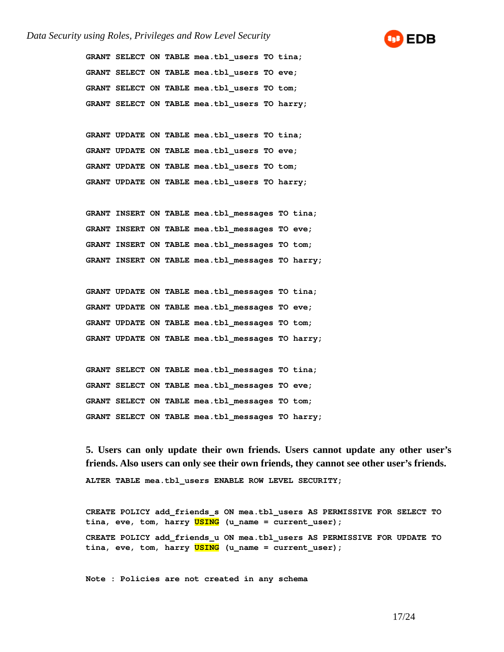#### *Data Security using Roles, Privileges and Row Level Security*



**GRANT SELECT ON TABLE mea.tbl\_users TO tina; GRANT SELECT ON TABLE mea.tbl\_users TO eve; GRANT SELECT ON TABLE mea.tbl\_users TO tom; GRANT SELECT ON TABLE mea.tbl\_users TO harry;**

**GRANT UPDATE ON TABLE mea.tbl\_users TO tina; GRANT UPDATE ON TABLE mea.tbl\_users TO eve; GRANT UPDATE ON TABLE mea.tbl\_users TO tom; GRANT UPDATE ON TABLE mea.tbl\_users TO harry;**

**GRANT INSERT ON TABLE mea.tbl\_messages TO tina; GRANT INSERT ON TABLE mea.tbl\_messages TO eve; GRANT INSERT ON TABLE mea.tbl\_messages TO tom; GRANT INSERT ON TABLE mea.tbl\_messages TO harry;**

**GRANT UPDATE ON TABLE mea.tbl\_messages TO tina; GRANT UPDATE ON TABLE mea.tbl\_messages TO eve; GRANT UPDATE ON TABLE mea.tbl\_messages TO tom; GRANT UPDATE ON TABLE mea.tbl\_messages TO harry;**

**GRANT SELECT ON TABLE mea.tbl\_messages TO tina; GRANT SELECT ON TABLE mea.tbl\_messages TO eve; GRANT SELECT ON TABLE mea.tbl\_messages TO tom; GRANT SELECT ON TABLE mea.tbl\_messages TO harry;**

**5. Users can only update their own friends. Users cannot update any other user's friends. Also users can only see their own friends, they cannot see other user's friends. ALTER TABLE mea.tbl\_users ENABLE ROW LEVEL SECURITY;**

**CREATE POLICY add\_friends\_s ON mea.tbl\_users AS PERMISSIVE FOR SELECT TO tina, eve, tom, harry USING (u\_name = current\_user); CREATE POLICY add\_friends\_u ON mea.tbl\_users AS PERMISSIVE FOR UPDATE TO tina, eve, tom, harry USING (u\_name = current\_user);**

**Note : Policies are not created in any schema**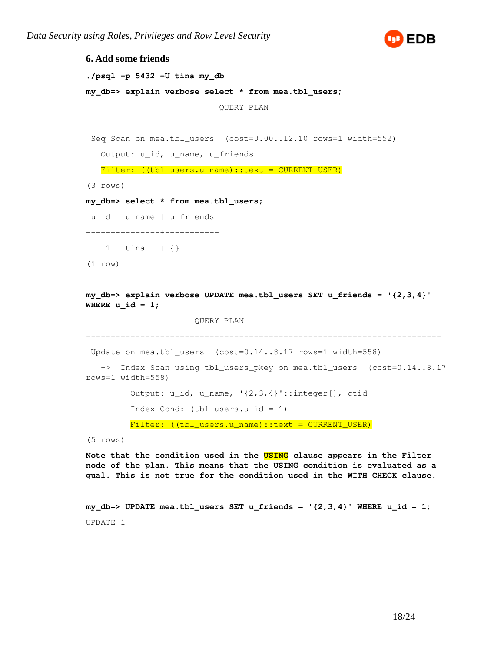

```
6. Add some friends
./psql -p 5432 -U tina my_db
my_db=> explain verbose select * from mea.tbl_users;
                            QUERY PLAN 
----------------------------------------------------------------
  Seq Scan on mea.tbl_users (cost=0.00..12.10 rows=1 width=552)
   Output: u_id, u_name, u_friends
  Filter: ((tbl_users.u_name)::text = CURRENT_USER)
(3 rows)
my_db=> select * from mea.tbl_users;
 u_id | u_name | u_friends 
------+--------+-----------
    1 | tina | {}
(1 row)
my_db=> explain verbose UPDATE mea.tbl_users SET u_friends = '{2,3,4}' 
WHERE u id = 1;
                       QUERY PLAN 
------------------------------------------------------------------------
 Update on mea.tbl_users (cost=0.14..8.17 rows=1 width=558)
   -> Index Scan using tbl_users_pkey on mea.tbl_users (cost=0.14..8.17
rows=1 width=558)
          Output: u_id, u_name, '{2,3,4}'::integer[], ctid
         Index Cond: (tbl users.u id = 1)
```
Filter: ((tbl\_users.u\_name)::text = CURRENT\_USER)

(5 rows)

**Note that the condition used in the USING clause appears in the Filter node of the plan. This means that the USING condition is evaluated as a qual. This is not true for the condition used in the WITH CHECK clause.**

**my\_db=> UPDATE mea.tbl\_users SET u\_friends = '{2,3,4}' WHERE u\_id = 1;** UPDATE 1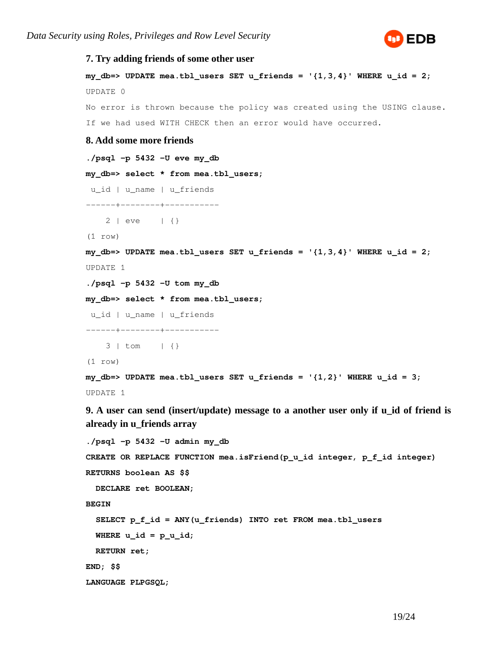

```
7. Try adding friends of some other user
my db=> UPDATE mea.tbl users SET u friends = '{1,3,4}' WHERE u id = 2;
UPDATE 0
No error is thrown because the policy was created using the USING clause.
If we had used WITH CHECK then an error would have occurred.
8. Add some more friends
./psql -p 5432 -U eve my_db
my_db=> select * from mea.tbl_users;
 u_id | u_name | u_friends 
------+--------+-----------
     2 | eve | {}
(1 row)
my_db=> UPDATE mea.tbl_users SET u_friends = '{1,3,4}' WHERE u_id = 2;
UPDATE 1
./psql -p 5432 -U tom my_db
my_db=> select * from mea.tbl_users;
 u_id | u_name | u_friends 
------+--------+-----------
     3 | tom | {}
(1 row)
my_db=> UPDATE mea.tbl_users SET u_friends = '{1,2}' WHERE u_id = 3;
UPDATE 1
```
**9. A user can send (insert/update) message to a another user only if u\_id of friend is already in u\_friends array**

```
./psql -p 5432 -U admin my_db
CREATE OR REPLACE FUNCTION mea.isFriend(p_u_id integer, p_f_id integer)
RETURNS boolean AS $$
  DECLARE ret BOOLEAN;
BEGIN
   SELECT p_f_id = ANY(u_friends) INTO ret FROM mea.tbl_users 
 WHERE u_id = p_u_id; RETURN ret;
END; $$
LANGUAGE PLPGSQL;
```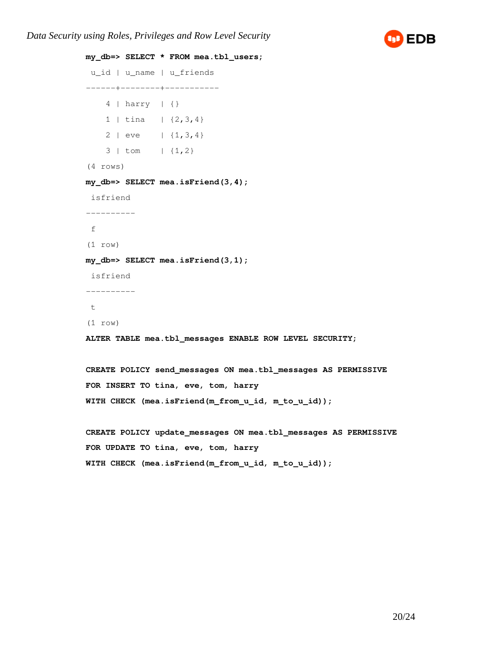*Data Security using Roles, Privileges and Row Level Security*



```
my_db=> SELECT * FROM mea.tbl_users;
 u_id | u_name | u_friends 
------+--------+-----------
     4 | harry | {}
   1 | tina | \{2, 3, 4\} 2 | eve | {1,3,4}
     3 | tom | {1,2}
(4 rows)
my_db=> SELECT mea.isFriend(3,4);
 isfriend 
----------
 f
(1 row)
my_db=> SELECT mea.isFriend(3,1);
 isfriend 
----------
 t
(1 row)
ALTER TABLE mea.tbl_messages ENABLE ROW LEVEL SECURITY;
CREATE POLICY send_messages ON mea.tbl_messages AS PERMISSIVE
FOR INSERT TO tina, eve, tom, harry
WITH CHECK (mea.isFriend(m_from_u_id, m_to_u_id));
CREATE POLICY update_messages ON mea.tbl_messages AS PERMISSIVE
FOR UPDATE TO tina, eve, tom, harry
WITH CHECK (mea.isFriend(m_from_u_id, m_to_u_id));
```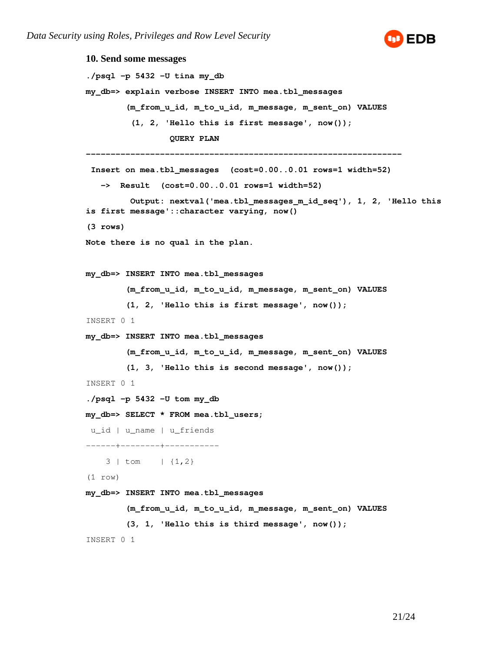

**10. Send some messages ./psql -p 5432 -U tina my\_db my\_db=> explain verbose INSERT INTO mea.tbl\_messages (m\_from\_u\_id, m\_to\_u\_id, m\_message, m\_sent\_on) VALUES (1, 2, 'Hello this is first message', now()); QUERY PLAN ---------------------------------------------------------------- Insert on mea.tbl\_messages (cost=0.00..0.01 rows=1 width=52) -> Result (cost=0.00..0.01 rows=1 width=52) Output: nextval('mea.tbl\_messages\_m\_id\_seq'), 1, 2, 'Hello this is first message'::character varying, now() (3 rows) Note there is no qual in the plan. my\_db=> INSERT INTO mea.tbl\_messages (m\_from\_u\_id, m\_to\_u\_id, m\_message, m\_sent\_on) VALUES (1, 2, 'Hello this is first message', now());** INSERT 0 1 **my\_db=> INSERT INTO mea.tbl\_messages (m\_from\_u\_id, m\_to\_u\_id, m\_message, m\_sent\_on) VALUES (1, 3, 'Hello this is second message', now());** INSERT 0 1 **./psql -p 5432 -U tom my\_db my\_db=> SELECT \* FROM mea.tbl\_users;**  u\_id | u\_name | u\_friends ------+--------+-----------  $3 \mid \text{tom} \mid \{1,2\}$ (1 row) **my\_db=> INSERT INTO mea.tbl\_messages (m\_from\_u\_id, m\_to\_u\_id, m\_message, m\_sent\_on) VALUES (3, 1, 'Hello this is third message', now());** INSERT 0 1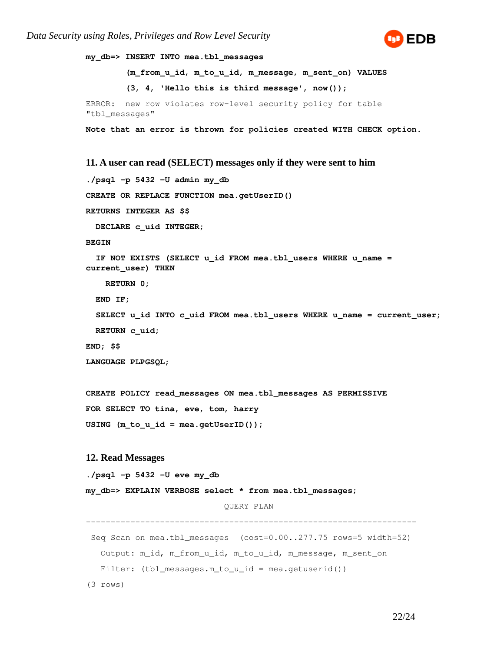

```
my_db=> INSERT INTO mea.tbl_messages 
         (m_from_u_id, m_to_u_id, m_message, m_sent_on) VALUES 
         (3, 4, 'Hello this is third message', now());
ERROR: new row violates row-level security policy for table
"tbl_messages"
Note that an error is thrown for policies created WITH CHECK option.
11. A user can read (SELECT) messages only if they were sent to him
./psql -p 5432 -U admin my_db
CREATE OR REPLACE FUNCTION mea.getUserID()
RETURNS INTEGER AS $$
```
 **DECLARE c\_uid INTEGER;**

#### **BEGIN**

```
 IF NOT EXISTS (SELECT u_id FROM mea.tbl_users WHERE u_name = 
current_user) THEN
```
 **RETURN 0;**

 **END IF;**

```
 SELECT u_id INTO c_uid FROM mea.tbl_users WHERE u_name = current_user;
 RETURN c_uid;
```
**END; \$\$**

**LANGUAGE PLPGSQL;**

```
CREATE POLICY read_messages ON mea.tbl_messages AS PERMISSIVE
FOR SELECT TO tina, eve, tom, harry
USING (m_to_u_id = mea.getUserID());
```
#### **12. Read Messages**

```
./psql -p 5432 -U eve my_db
```
**my\_db=> EXPLAIN VERBOSE select \* from mea.tbl\_messages;**

QUERY PLAN

-------------------------------------------------------------------

 Seq Scan on mea.tbl\_messages (cost=0.00..277.75 rows=5 width=52) Output: m\_id, m\_from\_u\_id, m\_to\_u\_id, m\_message, m\_sent\_on Filter:  $(tb1_m e s s a q e s.m_to_u_id = mea.getuserid())$ 

(3 rows)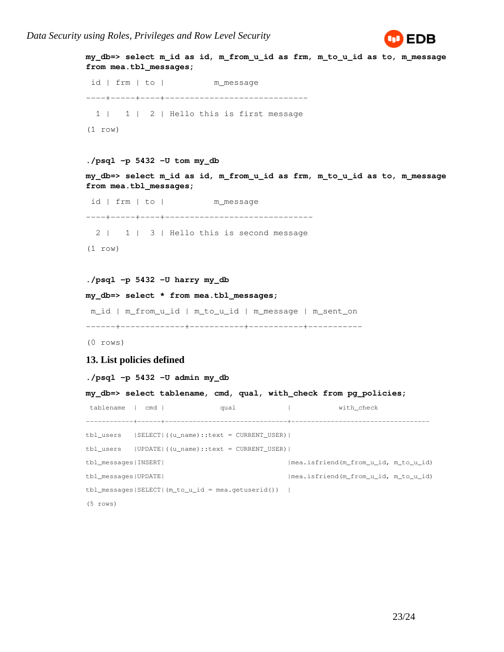

```
my_db=> select m_id as id, m_from_u_id as frm, m_to_u_id as to, m_message 
from mea.tbl_messages;
  id | frm | to | m_message 
----+-----+----+-----------------------------
   1 | 1 | 2 | Hello this is first message
(1 row)
./psql -p 5432 -U tom my_db 
my_db=> select m_id as id, m_from_u_id as frm, m_to_u_id as to, m_message 
from mea.tbl_messages;
  id | frm | to | m_message 
----+-----+----+------------------------------
  2 | 1 | 3 | Hello this is second message
(1 row)
./psql -p 5432 -U harry my_db
my_db=> select * from mea.tbl_messages;
 m_id | m_from_u_id | m_to_u_id | m_message | m_sent_on 
------+-------------+-----------+-----------+-----------
(0 rows)
13. List policies defined
./psql -p 5432 -U admin my_db
my_db=> select tablename, cmd, qual, with_check from pg_policies;
tablename | cmd | qual qual | with_check
------------+------+-------------------------------+-----------------------------------
tbl_users |SELECT|((u_name)::text = CURRENT_USER)| 
tbl_users |UPDATE|((u_name)::text = CURRENT_USER)| 
tbl_messages|INSERT| |mea.isfriend(m_from_u_id, m_to_u_id)
tbl_messages|UPDATE| |mea.isfriend(m_from_u_id, m_to_u_id)
tbl_messages|SELECT|(m_to_u_id = mea.getuserid()) | 
(5 rows)
```